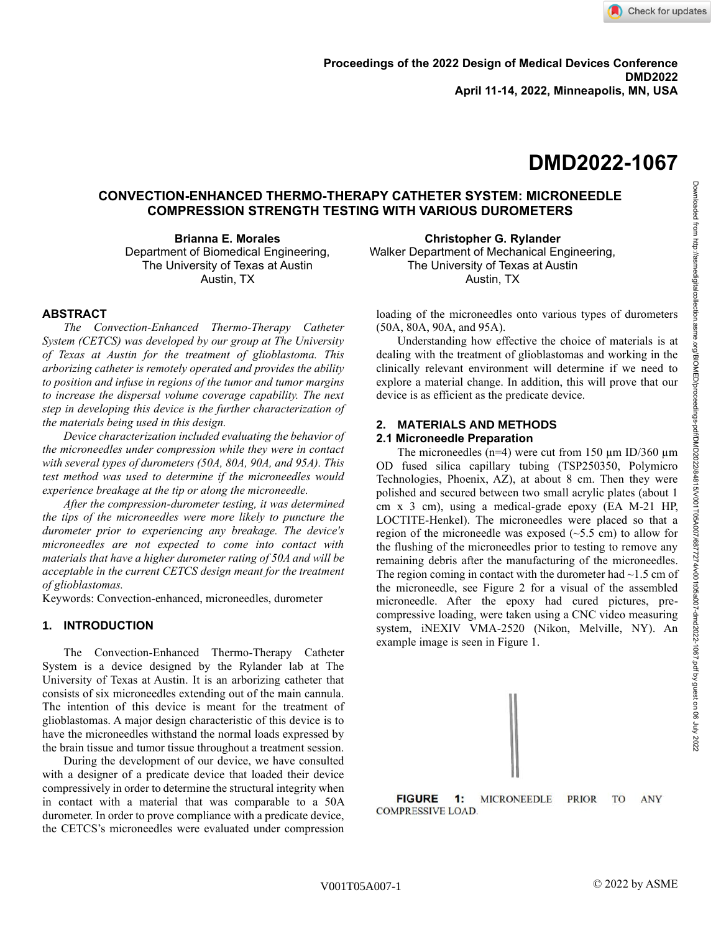**April 11-14, 2022, Minneapolis, MN, USA**

# **DMD2022-1067**

# **CONVECTION-ENHANCED THERMO-THERAPY CATHETER SYSTEM: MICRONEEDLE COMPRESSION STRENGTH TESTING WITH VARIOUS DUROMETERS**

**Brianna E. Morales** Department of Biomedical Engineering, The University of Texas at Austin Austin, TX

### **ABSTRACT**

*The Convection-Enhanced Thermo-Therapy Catheter System (CETCS) was developed by our group at The University of Texas at Austin for the treatment of glioblastoma. This arborizing catheter is remotely operated and provides the ability to position and infuse in regions of the tumor and tumor margins to increase the dispersal volume coverage capability. The next step in developing this device is the further characterization of the materials being used in this design.* 

*Device characterization included evaluating the behavior of the microneedles under compression while they were in contact with several types of durometers (50A, 80A, 90A, and 95A). This test method was used to determine if the microneedles would experience breakage at the tip or along the microneedle.* 

*After the compression-durometer testing, it was determined the tips of the microneedles were more likely to puncture the durometer prior to experiencing any breakage. The device's microneedles are not expected to come into contact with materials that have a higher durometer rating of 50A and will be acceptable in the current CETCS design meant for the treatment of glioblastomas.*

Keywords: Convection-enhanced, microneedles, durometer

#### **1. INTRODUCTION**

The Convection-Enhanced Thermo-Therapy Catheter System is a device designed by the Rylander lab at The University of Texas at Austin. It is an arborizing catheter that consists of six microneedles extending out of the main cannula. The intention of this device is meant for the treatment of glioblastomas. A major design characteristic of this device is to have the microneedles withstand the normal loads expressed by the brain tissue and tumor tissue throughout a treatment session.

During the development of our device, we have consulted with a designer of a predicate device that loaded their device compressively in order to determine the structural integrity when in contact with a material that was comparable to a 50A durometer. In order to prove compliance with a predicate device, the CETCS's microneedles were evaluated under compression

**Christopher G. Rylander**  Walker Department of Mechanical Engineering, The University of Texas at Austin Austin, TX

loading of the microneedles onto various types of durometers (50A, 80A, 90A, and 95A).

Understanding how effective the choice of materials is at dealing with the treatment of glioblastomas and working in the clinically relevant environment will determine if we need to explore a material change. In addition, this will prove that our device is as efficient as the predicate device.

#### **2. MATERIALS AND METHODS**

#### **2.1 Microneedle Preparation**

The microneedles ( $n=4$ ) were cut from 150  $\mu$ m ID/360  $\mu$ m OD fused silica capillary tubing (TSP250350, Polymicro Technologies, Phoenix, AZ), at about 8 cm. Then they were polished and secured between two small acrylic plates (about 1 cm x 3 cm), using a medical-grade epoxy (EA M-21 HP, LOCTITE-Henkel). The microneedles were placed so that a region of the microneedle was exposed  $(\sim 5.5 \text{ cm})$  to allow for the flushing of the microneedles prior to testing to remove any remaining debris after the manufacturing of the microneedles. The region coming in contact with the durometer had  $\sim$ 1.5 cm of the microneedle, see Figure 2 for a visual of the assembled microneedle. After the epoxy had cured pictures, precompressive loading, were taken using a CNC video measuring system, iNEXIV VMA-2520 (Nikon, Melville, NY). An example image is seen in Figure 1.



**FIGURE 1: MICRONEEDLE PRIOR** TO **ANY COMPRESSIVE LOAD.**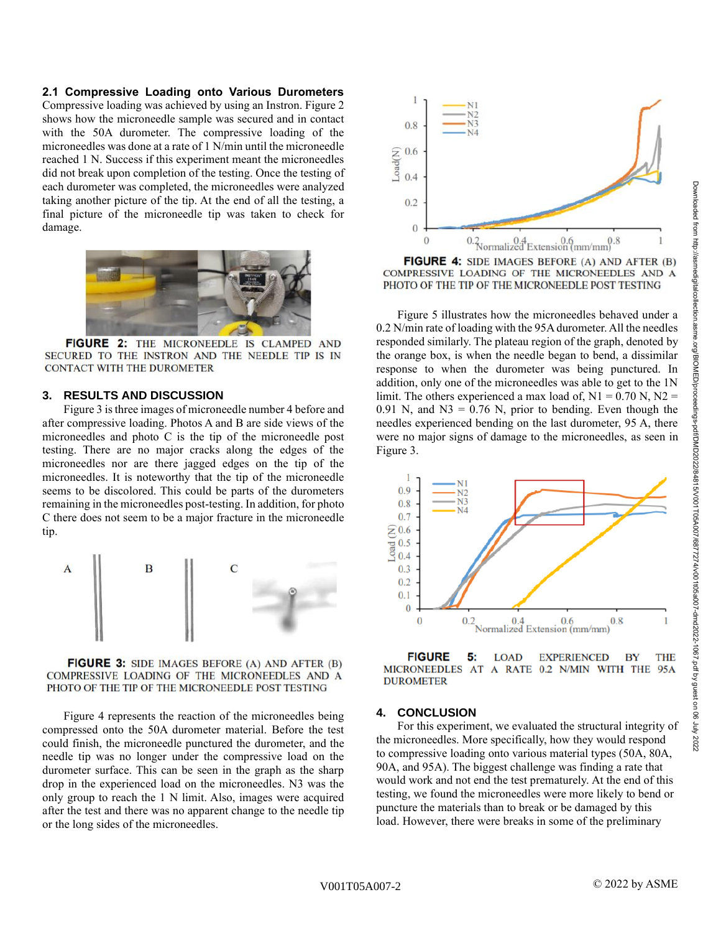#### **2.1 Compressive Loading onto Various Durometers**

Compressive loading was achieved by using an Instron. Figure 2 shows how the microneedle sample was secured and in contact with the 50A durometer. The compressive loading of the microneedles was done at a rate of 1 N/min until the microneedle reached 1 N. Success if this experiment meant the microneedles did not break upon completion of the testing. Once the testing of each durometer was completed, the microneedles were analyzed taking another picture of the tip. At the end of all the testing, a final picture of the microneedle tip was taken to check for damage.



FIGURE 2: THE MICRONEEDLE IS CLAMPED AND SECURED TO THE INSTRON AND THE NEEDLE TIP IS IN **CONTACT WITH THE DUROMETER** 

#### **3. RESULTS AND DISCUSSION**

Figure 3 is three images of microneedle number 4 before and after compressive loading. Photos A and B are side views of the microneedles and photo C is the tip of the microneedle post testing. There are no major cracks along the edges of the microneedles nor are there jagged edges on the tip of the microneedles. It is noteworthy that the tip of the microneedle seems to be discolored. This could be parts of the durometers remaining in the microneedles post-testing. In addition, for photo C there does not seem to be a major fracture in the microneedle tip.



FIGURE 3: SIDE IMAGES BEFORE (A) AND AFTER (B) COMPRESSIVE LOADING OF THE MICRONEEDLES AND A PHOTO OF THE TIP OF THE MICRONEEDLE POST TESTING

Figure 4 represents the reaction of the microneedles being compressed onto the 50A durometer material. Before the test could finish, the microneedle punctured the durometer, and the needle tip was no longer under the compressive load on the durometer surface. This can be seen in the graph as the sharp drop in the experienced load on the microneedles. N3 was the only group to reach the 1 N limit. Also, images were acquired after the test and there was no apparent change to the needle tip or the long sides of the microneedles.



FIGURE 4: SIDE IMAGES BEFORE (A) AND AFTER (B) COMPRESSIVE LOADING OF THE MICRONEEDLES AND A PHOTO OF THE TIP OF THE MICRONEEDLE POST TESTING

Figure 5 illustrates how the microneedles behaved under a 0.2 N/min rate of loading with the 95A durometer. All the needles responded similarly. The plateau region of the graph, denoted by the orange box, is when the needle began to bend, a dissimilar response to when the durometer was being punctured. In addition, only one of the microneedles was able to get to the 1N limit. The others experienced a max load of,  $N1 = 0.70$  N,  $N2 =$ 0.91 N, and  $N3 = 0.76$  N, prior to bending. Even though the needles experienced bending on the last durometer, 95 A, there were no major signs of damage to the microneedles, as seen in Figure 3.





#### **4. CONCLUSION**

For this experiment, we evaluated the structural integrity of the microneedles. More specifically, how they would respond to compressive loading onto various material types (50A, 80A, 90A, and 95A). The biggest challenge was finding a rate that would work and not end the test prematurely. At the end of this testing, we found the microneedles were more likely to bend or puncture the materials than to break or be damaged by this load. However, there were breaks in some of the preliminary